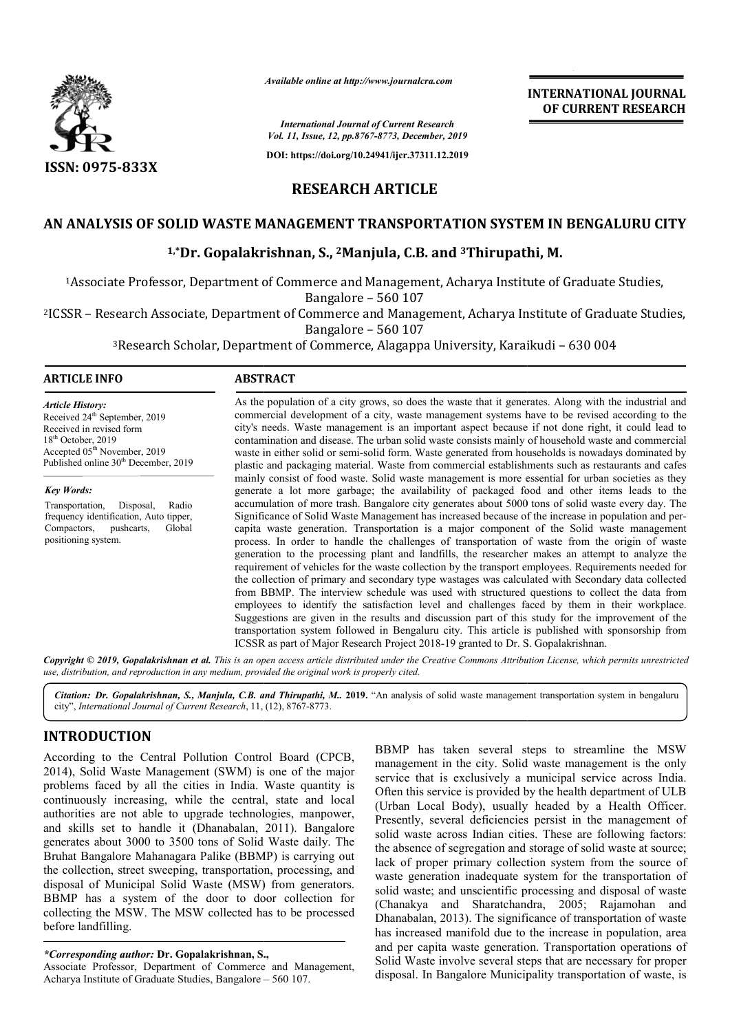

*Available online at http://www.journalcra.com*

*International Journal of Current Research Vol. 11, Issue, 12, pp.8767-8773, December, 2019*

**DOI: https://doi.org/10.24941/ijcr.37311.12.2019**

# **INTERNATIONAL JOURNAL OF CURRENT RESEARCH**

**RESEARCH ARTICLE**

## **AN ANALYSIS OF SOLID WASTE MANAGEMENT TRANSPORTATION SYSTEM IN BENGALURU CITY**

## <sup>1,\*</sup>Dr. Gopalakrishnan, S., <sup>2</sup>Manjula, C.B. and <sup>3</sup>Thirupathi, M.

1Associate Professor, Department of Commerce and Management, Acharya Institute of Graduate Studies, Associate Bangalore – 560 107

2ICSSR – Research Associate, Department of Commerce and Management, Acharya Institute of Graduate Studies, Associate Professor, Department of Commerce and Management, Acharya Institute of Graduate<br>Bangalore – 560 107<br>Bangalore – 560 107<br>Bangalore – 560 107<br>Bangalore – 560 107<br>Research Scholar, Department of Commerce, Alagappa U

Bangalore – 560 107

<sup>3</sup>Research Scholar, Department of Commerce, Alagappa University, Karaikudi

#### **ARTICLE INFO ABSTRACT**

*Article History:* Received 24<sup>th</sup> September, 2019 Received in revised form 18<sup>th</sup> October, 2019 Accepted 05<sup>th</sup> November, 2019 Published online 30<sup>th</sup> December, 2019

*Key Words:*

Transportation, Disposal, Radio frequency identification, Auto tipper, Compactors, pushcarts, Global positioning system.

As the population of a city grows, so does the waste that it generates. Along with the industrial and commercial development of a city, waste management systems have to be revised according to the city's needs. Waste management is an important aspect because if not done right, it could lead to contamination and disease. The urban solid waste consists mainly of household waste waste in either solid or semi-solid form. Waste generated from households is nowadays dominated by plastic and packaging material. Waste from commercial establishments such as restaurants and cafes mainly consist of food waste. Solid waste management is more essential for urban societies as they generate a lot more garbage; the availability of packaged food and other items leads to the accumulation of more trash. Bangalore city generates about 5000 tons of solid waste every day. The Signific Significance of Solid Waste Management has increased because of the increase in population and per capita waste generation. Transportation is a major component of the Solid waste management capita waste generation. Transportation is a major component of the Solid waste management process. In order to handle the challenges of transportation of waste from the origin of waste generation to the processing plant and landfills, the researcher makes an attempt to analyze the requirement of vehicles for the waste collection by the transport employees. Requirements needed for the collection of primary and secondary type wastages was calculated with Secondary data collected from BBMP. The interview schedule was used with structured questions to collect the data from employees to identify the satisfaction level and challenges faced by them in their workplace. Sugges Suggestions are given in the results and discussion part of this study for the improvement of the transportation system followed in Bengaluru city. This article is published with sponsorship from ICSSR as part of Major Research Project 2018 2018-19 granted to Dr. S. As the population of a city grows, so does the waste that it generates. Along with the industrial and commercial development of a city, waste management systems have to be revised according to the city's needs. Waste manag waste in either solid or semi-solid form. Waste generated from households is nowadays dominated by plastic and packaging material. Waste from commercial establishments such as restaurants and cafes mainly consist of food w generation to the processing plant and landfills, the researcher makes an attempt to analyze the requirement of vehicles for the waste collection by the transport employees. Requirements needed for the collection of primar INTERNATIONAL JOURNAL<br>
INTERNATIONAL JOURNAL<br>
In Recent<br>
Recent<br>
OF CURRENT RESEARCH<br>
CONDICTLE<br>
CONDICTLE<br>
TOTAL ILLES<br>
CONDICTED INTO SYSTEM IN BENGALURU CITY<br>
CORTATION SYSTEM IN BENGALURU CITY<br>
CORTATION SYSTEM IN BENG

Copyright © 2019, Gopalakrishnan et al. This is an open access article distributed under the Creative Commons Attribution License, which permits unrestrictea *use, distribution, and reproduction in any medium, provided the original work is properly cited.*

Citation: Dr. Gopalakrishnan, S., Manjula, C.B. and Thirupathi, M.. 2019. "An analysis of solid waste management transportation system in bengaluru city", *International Journal of Current Research*, 11, (12), 8767-8773.

# **INTRODUCTION**

According to the Central Pollution Control Board (CPCB, 2014), Solid Waste Management (SWM) is one of the major problems faced by all the cities in India. Waste quantity is continuously increasing, while the central, state and local authorities are not able to upgrade technologies, manpower, and skills set to handle it (Dhanabalan, 2011). Bangalore generates about 3000 to 3500 tons of Solid Waste daily. The Bruhat Bangalore Mahanagara Palike (BBMP) is carrying out the collection, street sweeping, transportation, processing, and disposal of Municipal Solid Waste (MSW) from generators. BBMP has a system of the door to door collection for collecting the MSW. The MSW collected has to be processed before landfilling. e to upgrade technolog<br>dle it (Dhanabalan, 20<br>to 3500 tons of Solid W<br>anagara Palike (BBMP)<br>veeping, transportation,

Associate Professor, Department of Commerce and Management, Acharya Institute of Graduate Studies, Bangalore – 560 107.

BBMP has taken several steps to streamline the MSW management in the city. Solid waste management is the only service that is exclusively a municipal service across India. Often this service is provided by the health department of ULB (Urban Local Body), usually headed by a Health Officer. Presently, several deficiencies persist in the management of solid waste across Indian cities. These are following factors: the absence of segregation and storage of solid waste at source; lack of proper primary collection system from the source of waste generation inadequate system for the transportation of solid waste; and unscientific processing and disposal of waste (Chanakya and Sharatchandra, 2005; Rajamohan and Dhanabalan, 2013). The significance of transportation of waste has increased manifold due to the increase in population, area and per capita waste generation. Transportation operation Solid Waste involve several steps that are necessary for proper disposal. In Bangalore Municipality transportation of waste, is taken several steps to streamline the MSW<br>in the city. Solid waste management is the only<br>s exclusively a municipal service across India.<br>vice is provided by the health department of ULB<br>l Body), usually headed by a Health of segregation and storage of solid waste at source;<br>er primary collection system from the source of<br>ation inadequate system for the transportation of<br>and unscientific processing and disposal of waste nakya and Sharatchandra, 2005; Rajamohan and nabalan, 2013). The significance of transportation of waste increased manifold due to the increase in population, area per capita waste generation. Transportation operations of

*<sup>\*</sup>Corresponding author:* **Dr. Gopalakrishnan, S.,**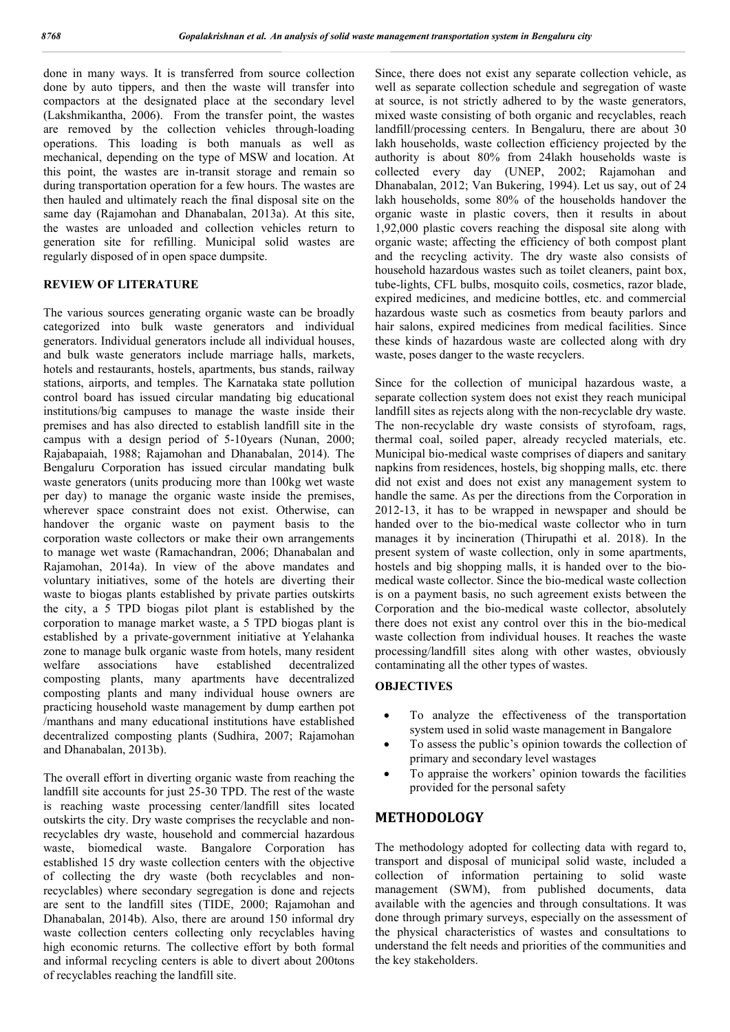done in many ways. It is transferred from source collection done by auto tippers, and then the waste will transfer into compactors at the designated place at the secondary level (Lakshmikantha, 2006). From the transfer point, the wastes are removed by the collection vehicles through-loading operations. This loading is both manuals as well as mechanical, depending on the type of MSW and location. At this point, the wastes are in-transit storage and remain so during transportation operation for a few hours. The wastes are then hauled and ultimately reach the final disposal site on the same day (Rajamohan and Dhanabalan, 2013a). At this site, the wastes are unloaded and collection vehicles return to generation site for refilling. Municipal solid wastes are regularly disposed of in open space dumpsite.

#### **REVIEW OF LITERATURE**

The various sources generating organic waste can be broadly categorized into bulk waste generators and individual generators. Individual generators include all individual houses, and bulk waste generators include marriage halls, markets, hotels and restaurants, hostels, apartments, bus stands, railway stations, airports, and temples. The Karnataka state pollution control board has issued circular mandating big educational institutions/big campuses to manage the waste inside their premises and has also directed to establish landfill site in the campus with a design period of 5-10years (Nunan, 2000; Rajabapaiah, 1988; Rajamohan and Dhanabalan, 2014). The Bengaluru Corporation has issued circular mandating bulk waste generators (units producing more than 100kg wet waste per day) to manage the organic waste inside the premises, wherever space constraint does not exist. Otherwise, can handover the organic waste on payment basis to the corporation waste collectors or make their own arrangements to manage wet waste (Ramachandran, 2006; Dhanabalan and Rajamohan, 2014a). In view of the above mandates and voluntary initiatives, some of the hotels are diverting their waste to biogas plants established by private parties outskirts the city, a 5 TPD biogas pilot plant is established by the corporation to manage market waste, a 5 TPD biogas plant is established by a private-government initiative at Yelahanka zone to manage bulk organic waste from hotels, many resident welfare associations have established decentralized composting plants, many apartments have decentralized composting plants and many individual house owners are practicing household waste management by dump earthen pot /manthans and many educational institutions have established decentralized composting plants (Sudhira, 2007; Rajamohan and Dhanabalan, 2013b).

The overall effort in diverting organic waste from reaching the landfill site accounts for just 25-30 TPD. The rest of the waste is reaching waste processing center/landfill sites located outskirts the city. Dry waste comprises the recyclable and nonrecyclables dry waste, household and commercial hazardous waste, biomedical waste. Bangalore Corporation has established 15 dry waste collection centers with the objective of collecting the dry waste (both recyclables and nonrecyclables) where secondary segregation is done and rejects are sent to the landfill sites (TIDE, 2000; Rajamohan and Dhanabalan, 2014b). Also, there are around 150 informal dry waste collection centers collecting only recyclables having high economic returns. The collective effort by both formal and informal recycling centers is able to divert about 200tons of recyclables reaching the landfill site.

Since, there does not exist any separate collection vehicle, as well as separate collection schedule and segregation of waste at source, is not strictly adhered to by the waste generators, mixed waste consisting of both organic and recyclables, reach landfill/processing centers. In Bengaluru, there are about 30 lakh households, waste collection efficiency projected by the authority is about 80% from 24lakh households waste is collected every day (UNEP, 2002; Rajamohan and Dhanabalan, 2012; Van Bukering, 1994). Let us say, out of 24 lakh households, some 80% of the households handover the organic waste in plastic covers, then it results in about 1,92,000 plastic covers reaching the disposal site along with organic waste; affecting the efficiency of both compost plant and the recycling activity. The dry waste also consists of household hazardous wastes such as toilet cleaners, paint box, tube-lights, CFL bulbs, mosquito coils, cosmetics, razor blade, expired medicines, and medicine bottles, etc. and commercial hazardous waste such as cosmetics from beauty parlors and hair salons, expired medicines from medical facilities. Since these kinds of hazardous waste are collected along with dry waste, poses danger to the waste recyclers.

Since for the collection of municipal hazardous waste, a separate collection system does not exist they reach municipal landfill sites as rejects along with the non-recyclable dry waste. The non-recyclable dry waste consists of styrofoam, rags, thermal coal, soiled paper, already recycled materials, etc. Municipal bio-medical waste comprises of diapers and sanitary napkins from residences, hostels, big shopping malls, etc. there did not exist and does not exist any management system to handle the same. As per the directions from the Corporation in 2012-13, it has to be wrapped in newspaper and should be handed over to the bio-medical waste collector who in turn manages it by incineration (Thirupathi et al. 2018). In the present system of waste collection, only in some apartments, hostels and big shopping malls, it is handed over to the biomedical waste collector. Since the bio-medical waste collection is on a payment basis, no such agreement exists between the Corporation and the bio-medical waste collector, absolutely there does not exist any control over this in the bio-medical waste collection from individual houses. It reaches the waste processing/landfill sites along with other wastes, obviously contaminating all the other types of wastes.

#### **OBJECTIVES**

- To analyze the effectiveness of the transportation system used in solid waste management in Bangalore
- To assess the public's opinion towards the collection of primary and secondary level wastages
- To appraise the workers' opinion towards the facilities provided for the personal safety

### **METHODOLOGY**

The methodology adopted for collecting data with regard to, transport and disposal of municipal solid waste, included a collection of information pertaining to solid waste management (SWM), from published documents, data available with the agencies and through consultations. It was done through primary surveys, especially on the assessment of the physical characteristics of wastes and consultations to understand the felt needs and priorities of the communities and the key stakeholders.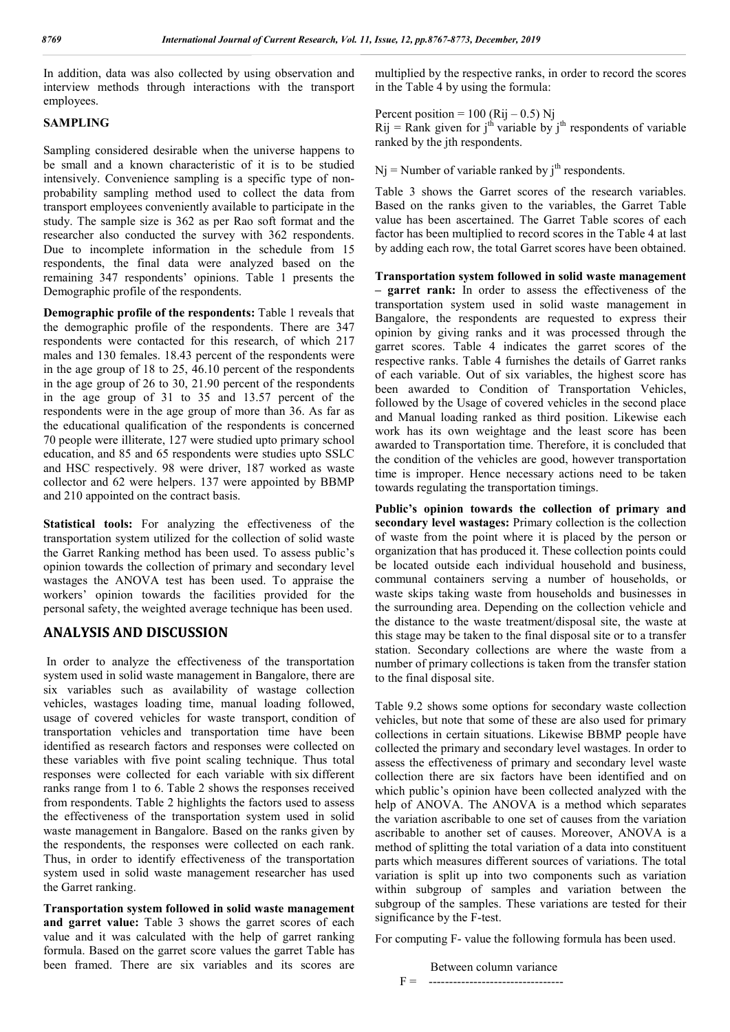In addition, data was also collected by using observation and interview methods through interactions with the transport employees.

## **SAMPLING**

Sampling considered desirable when the universe happens to be small and a known characteristic of it is to be studied intensively. Convenience sampling is a specific type of nonprobability sampling method used to collect the data from transport employees conveniently available to participate in the study. The sample size is 362 as per Rao soft format and the researcher also conducted the survey with 362 respondents. Due to incomplete information in the schedule from 15 respondents, the final data were analyzed based on the remaining 347 respondents' opinions. Table 1 presents the Demographic profile of the respondents.

**Demographic profile of the respondents:** Table 1 reveals that the demographic profile of the respondents. There are 347 respondents were contacted for this research, of which 217 males and 130 females. 18.43 percent of the respondents were in the age group of 18 to 25, 46.10 percent of the respondents in the age group of 26 to 30, 21.90 percent of the respondents in the age group of 31 to 35 and 13.57 percent of the respondents were in the age group of more than 36. As far as the educational qualification of the respondents is concerned 70 people were illiterate, 127 were studied upto primary school education, and 85 and 65 respondents were studies upto SSLC and HSC respectively. 98 were driver, 187 worked as waste collector and 62 were helpers. 137 were appointed by BBMP and 210 appointed on the contract basis.

**Statistical tools:** For analyzing the effectiveness of the transportation system utilized for the collection of solid waste the Garret Ranking method has been used. To assess public's opinion towards the collection of primary and secondary level wastages the ANOVA test has been used. To appraise the workers' opinion towards the facilities provided for the personal safety, the weighted average technique has been used.

# **ANALYSIS AND DISCUSSION**

In order to analyze the effectiveness of the transportation system used in solid waste management in Bangalore, there are six variables such as availability of wastage collection vehicles, wastages loading time, manual loading followed, usage of covered vehicles for waste transport, condition of transportation vehicles and transportation time have been identified as research factors and responses were collected on these variables with five point scaling technique. Thus total responses were collected for each variable with six different ranks range from 1 to 6. Table 2 shows the responses received from respondents. Table 2 highlights the factors used to assess the effectiveness of the transportation system used in solid waste management in Bangalore. Based on the ranks given by the respondents, the responses were collected on each rank. Thus, in order to identify effectiveness of the transportation system used in solid waste management researcher has used the Garret ranking.

**Transportation system followed in solid waste management**  and garret value: Table 3 shows the garret scores of each value and it was calculated with the help of garret ranking formula. Based on the garret score values the garret Table has been framed. There are six variables and its scores are

multiplied by the respective ranks, in order to record the scores in the Table 4 by using the formula:

Percent position =  $100$  (Rij – 0.5) Nj Rij = Rank given for j<sup>th</sup> variable by j<sup>th</sup> respondents of variable ranked by the jth respondents.

 $Nj$  = Number of variable ranked by  $j<sup>th</sup>$  respondents.

Table 3 shows the Garret scores of the research variables. Based on the ranks given to the variables, the Garret Table value has been ascertained. The Garret Table scores of each factor has been multiplied to record scores in the Table 4 at last by adding each row, the total Garret scores have been obtained.

**Transportation system followed in solid waste management – garret rank:** In order to assess the effectiveness of the transportation system used in solid waste management in Bangalore, the respondents are requested to express their opinion by giving ranks and it was processed through the garret scores. Table 4 indicates the garret scores of the respective ranks. Table 4 furnishes the details of Garret ranks of each variable. Out of six variables, the highest score has been awarded to Condition of Transportation Vehicles, followed by the Usage of covered vehicles in the second place and Manual loading ranked as third position. Likewise each work has its own weightage and the least score has been awarded to Transportation time. Therefore, it is concluded that the condition of the vehicles are good, however transportation time is improper. Hence necessary actions need to be taken towards regulating the transportation timings.

**Public's opinion towards the collection of primary and secondary level wastages:** Primary collection is the collection of waste from the point where it is placed by the person or organization that has produced it. These collection points could be located outside each individual household and business, communal containers serving a number of households, or waste skips taking waste from households and businesses in the surrounding area. Depending on the collection vehicle and the distance to the waste treatment/disposal site, the waste at this stage may be taken to the final disposal site or to a transfer station. Secondary collections are where the waste from a number of primary collections is taken from the transfer station to the final disposal site.

Table 9.2 shows some options for secondary waste collection vehicles, but note that some of these are also used for primary collections in certain situations. Likewise BBMP people have collected the primary and secondary level wastages. In order to assess the effectiveness of primary and secondary level waste collection there are six factors have been identified and on which public's opinion have been collected analyzed with the help of ANOVA. The ANOVA is a method which separates the variation ascribable to one set of causes from the variation ascribable to another set of causes. Moreover, ANOVA is a method of splitting the total variation of a data into constituent parts which measures different sources of variations. The total variation is split up into two components such as variation within subgroup of samples and variation between the subgroup of the samples. These variations are tested for their significance by the F-test.

For computing F- value the following formula has been used.

 Between column variance F = ---------------------------------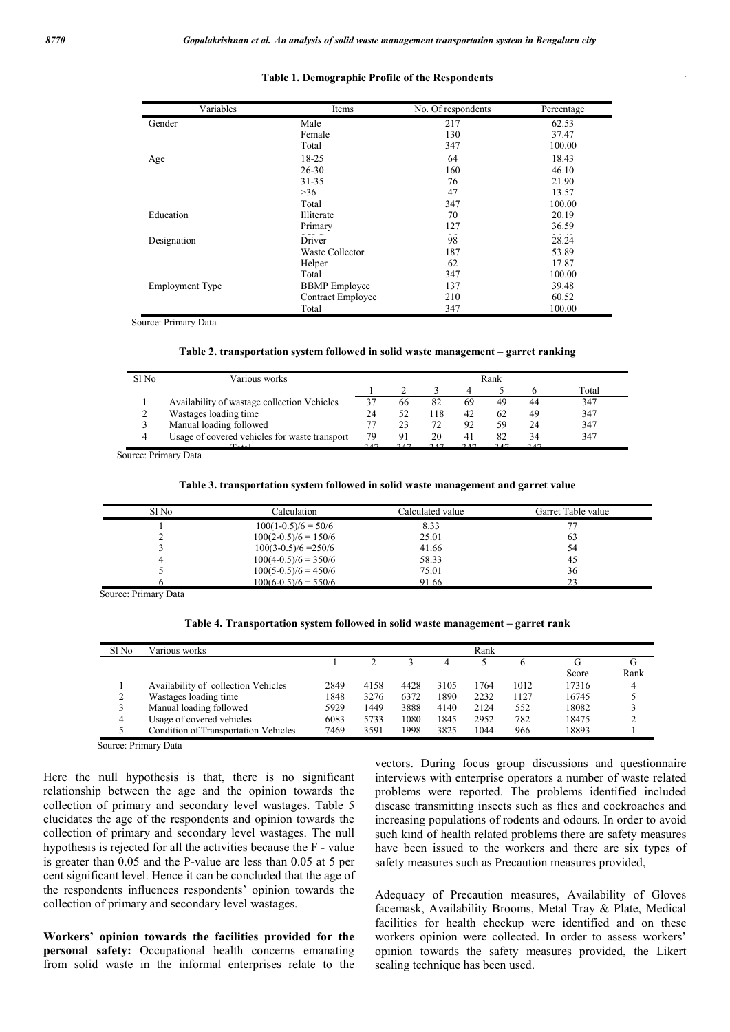#### **i** Table 1. Demographic Profile of the Respondents was tes with verming and insects that server as potential disease as potential disease as potential disease as

| Variables              | Items                | No. Of respondents | Percentage |
|------------------------|----------------------|--------------------|------------|
| Gender                 | Male                 | 217                | 62.53      |
|                        | Female               | 130                | 37.47      |
|                        | Total                | 347                | 100.00     |
| Age                    | 18-25                | 64                 | 18.43      |
|                        | $26 - 30$            | 160                | 46.10      |
|                        | $31 - 35$            | 76                 | 21.90      |
|                        | >36                  | 47                 | 13.57      |
|                        | Total                | 347                | 100.00     |
| Education              | Illiterate           | 70                 | 20.19      |
|                        | Primary              | 127                | 36.59      |
| Designation            | Driver               | $\sim$ $-$<br>98   | 28.24      |
|                        | Waste Collector      | 187                | 53.89      |
|                        | Helper               | 62                 | 17.87      |
|                        | Total                | 347                | 100.00     |
| <b>Employment Type</b> | <b>BBMP</b> Employee | 137                | 39.48      |
|                        | Contract Employee    | 210                | 60.52      |
|                        | Total                | 347                | 100.00     |

Source: Primary Data

|  |  | Table 2. transportation system followed in solid waste management – garret ranking |  |
|--|--|------------------------------------------------------------------------------------|--|
|  |  |                                                                                    |  |

| Sl No | Various works                                 | Rank |      |      |    |     |     |       |  |  |
|-------|-----------------------------------------------|------|------|------|----|-----|-----|-------|--|--|
|       |                                               |      |      |      |    |     |     | Total |  |  |
|       | Availability of wastage collection Vehicles   | 37   | 66   | 82   | 69 | 49  | 44  | 347   |  |  |
|       | Wastages loading time                         | 24   | 52   | 118  | 42 | 62  | 49  | 347   |  |  |
|       | Manual loading followed                       |      | 23   | 72   | 92 | 59  | 24  | 347   |  |  |
|       | Usage of covered vehicles for waste transport | 79   | 91   | 20   | 41 | 82  | 34  | 347   |  |  |
|       | $T - 1$                                       | 2.47 | 2.47 | 2.47 |    | 247 | 247 |       |  |  |

Source: Primary Data

| Table 3. transportation system followed in solid waste management and garret value |  |  |  |
|------------------------------------------------------------------------------------|--|--|--|
|                                                                                    |  |  |  |

| Sl No | Calculation            | Calculated value | Garret Table value |
|-------|------------------------|------------------|--------------------|
|       | $100(1-0.5)/6 = 50/6$  | 8.33             |                    |
|       | $100(2-0.5)/6 = 150/6$ | 25.01            | 63                 |
|       | $100(3-0.5)/6 = 250/6$ | 41.66            | 54                 |
|       | $100(4-0.5)/6 = 350/6$ | 58.33            | 45                 |
|       | $100(5-0.5)/6 = 450/6$ | 75.01            | 36                 |
|       | $100(6-0.5)/6 = 550/6$ | 91.66            | າາ                 |

Source: Primary Data

|  |  |  |  |  |  |  |  | Table 4. Transportation system followed in solid waste management – garret rank |  |  |  |
|--|--|--|--|--|--|--|--|---------------------------------------------------------------------------------|--|--|--|
|--|--|--|--|--|--|--|--|---------------------------------------------------------------------------------|--|--|--|

| Sl No | Various works                               |      |      |      |      | Rank |      |       |      |
|-------|---------------------------------------------|------|------|------|------|------|------|-------|------|
|       |                                             |      |      |      |      |      |      |       | G    |
|       |                                             |      |      |      |      |      |      | Score | Rank |
|       | Availability of collection Vehicles         | 2849 | 4158 | 4428 | 3105 | 1764 | 1012 | 17316 |      |
|       | Wastages loading time                       | 1848 | 3276 | 6372 | 1890 | 2232 | 1127 | 16745 |      |
|       | Manual loading followed                     | 5929 | 1449 | 3888 | 4140 | 2124 | 552  | 18082 |      |
| 4     | Usage of covered vehicles                   | 6083 | 5733 | 1080 | 1845 | 2952 | 782  | 18475 |      |
|       | <b>Condition of Transportation Vehicles</b> | 7469 | 3591 | 1998 | 3825 | 1044 | 966  | 18893 |      |

Here the null hypothesis is that, there is no significant relationship between the age and the opinion towards the collection of primary and secondary level wastages. Table 5 elucidates the age of the respondents and opinion towards the collection of primary and secondary level wastages. The null hypothesis is rejected for all the activities because the F - value is greater than 0.05 and the P-value are less than 0.05 at 5 per cent significant level. Hence it can be concluded that the age of the respondents influences respondents' opinion towards the collection of primary and secondary level wastages.

**Workers' opinion towards the facilities provided for the personal safety:** Occupational health concerns emanating from solid waste in the informal enterprises relate to the

vectors. During focus group discussions and questionnaire interviews with enterprise operators a number of waste related problems were reported. The problems identified included disease transmitting insects such as flies and cockroaches and increasing populations of rodents and odours. In order to avoid such kind of health related problems there are safety measures have been issued to the workers and there are six types of safety measures such as Precaution measures provided,

Adequacy of Precaution measures, Availability of Gloves facemask, Availability Brooms, Metal Tray & Plate, Medical facilities for health checkup were identified and on these workers opinion were collected. In order to assess workers' opinion towards the safety measures provided, the Likert scaling technique has been used.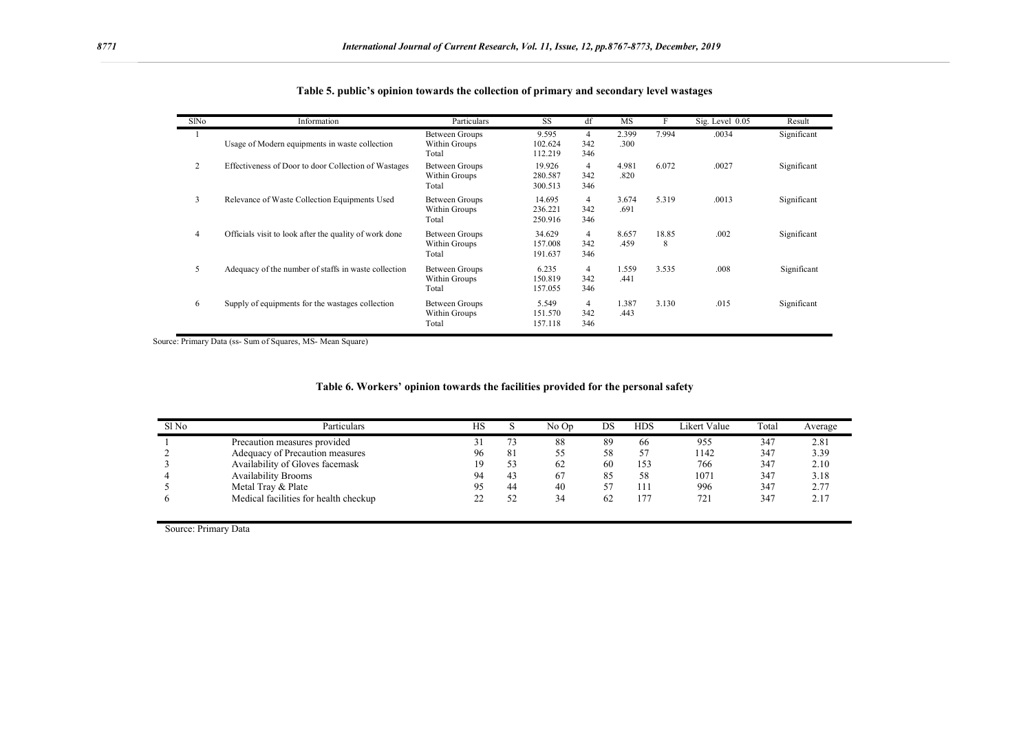| SlNo | Information                                            | Particulars                              | <b>SS</b>                    | df              | <b>MS</b>     | F          | Sig. Level 0.05 | Result      |
|------|--------------------------------------------------------|------------------------------------------|------------------------------|-----------------|---------------|------------|-----------------|-------------|
|      | Usage of Modern equipments in waste collection         | Between Groups<br>Within Groups<br>Total | 9.595<br>102.624<br>112.219  | 4<br>342<br>346 | 2.399<br>.300 | 7.994      | .0034           | Significant |
| 2    | Effectiveness of Door to door Collection of Wastages   | Between Groups<br>Within Groups<br>Total | 19.926<br>280.587<br>300.513 | 4<br>342<br>346 | 4.981<br>.820 | 6.072      | .0027           | Significant |
| 3    | Relevance of Waste Collection Equipments Used          | Between Groups<br>Within Groups<br>Total | 14.695<br>236.221<br>250.916 | 4<br>342<br>346 | 3.674<br>.691 | 5.319      | .0013           | Significant |
| 4    | Officials visit to look after the quality of work done | Between Groups<br>Within Groups<br>Total | 34.629<br>157.008<br>191.637 | 4<br>342<br>346 | 8.657<br>.459 | 18.85<br>8 | .002            | Significant |
| 5    | Adequacy of the number of staffs in waste collection   | Between Groups<br>Within Groups<br>Total | 6.235<br>150.819<br>157.055  | 4<br>342<br>346 | 1.559<br>.441 | 3.535      | .008            | Significant |
| 6    | Supply of equipments for the wastages collection       | Between Groups<br>Within Groups<br>Total | 5.549<br>151.570<br>157.118  | 4<br>342<br>346 | 1.387<br>.443 | 3.130      | .015            | Significant |

|  |  |  |  |  |  | Table 5. public's opinion towards the collection of primary and secondary level wastages |
|--|--|--|--|--|--|------------------------------------------------------------------------------------------|
|--|--|--|--|--|--|------------------------------------------------------------------------------------------|

Source: Primary Data (ss- Sum of Squares, MS- Mean Square)

| Table 6. Workers' opinion towards the facilities provided for the personal safety |  |  |  |  |
|-----------------------------------------------------------------------------------|--|--|--|--|
|                                                                                   |  |  |  |  |

| Sl <sub>No</sub> | Particulars                           | HS      |    | No Op | DS | HDS | Likert Value | Total | Average |
|------------------|---------------------------------------|---------|----|-------|----|-----|--------------|-------|---------|
|                  | Precaution measures provided          | ر 2     |    | 88    | 89 | 66  | 955          | 347   | 2.81    |
|                  | Adequacy of Precaution measures       | 96      | 81 | ╰     | 58 | 57  | 1142         | 347   | 3.39    |
|                  | Availability of Gloves facemask       | 19      | 53 | 62    | 60 | 153 | 766          | 347   | 2.10    |
|                  | <b>Availability Brooms</b>            | 94      | 43 | 67    | 85 | 58  | 1071         | 347   | 3.18    |
|                  | Metal Tray & Plate                    | 95      | 44 | 40    | 57 | 111 | 996          | 347   | 2.77    |
|                  | Medical facilities for health checkup | າາ<br>∸ | 52 | 34    | 62 | 177 | 721          | 347   | 2.17    |

Source: Primary Data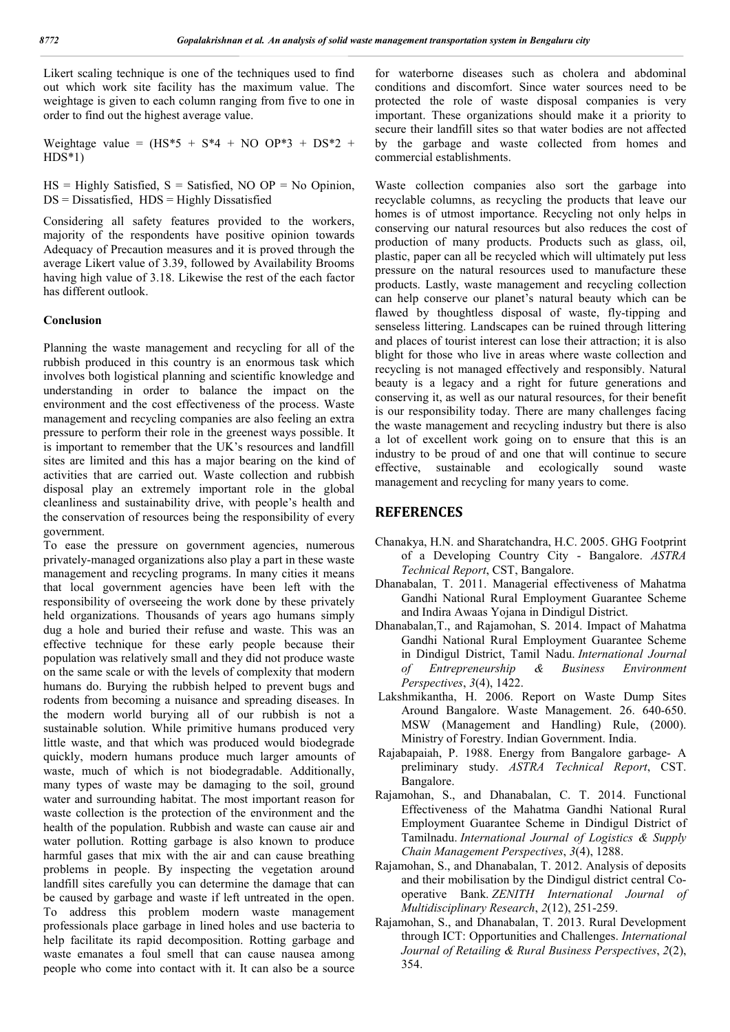Likert scaling technique is one of the techniques used to find out which work site facility has the maximum value. The weightage is given to each column ranging from five to one in order to find out the highest average value.

Weightage value =  $(HS^*5 + S^*4 + NO OP^*3 + DS^*2 +$  $HDS*1$ 

 $HS =$  Highly Satisfied,  $S =$  Satisfied, NO OP = No Opinion,  $DS = Dissatisfied$ ,  $HDS = Highly Dis satisfied$ 

Considering all safety features provided to the workers, majority of the respondents have positive opinion towards Adequacy of Precaution measures and it is proved through the average Likert value of 3.39, followed by Availability Brooms having high value of 3.18. Likewise the rest of the each factor has different outlook.

#### **Conclusion**

Planning the waste management and recycling for all of the rubbish produced in this country is an enormous task which involves both logistical planning and scientific knowledge and understanding in order to balance the impact on the environment and the cost effectiveness of the process. Waste management and recycling companies are also feeling an extra pressure to perform their role in the greenest ways possible. It is important to remember that the UK's resources and landfill sites are limited and this has a major bearing on the kind of activities that are carried out. Waste collection and rubbish disposal play an extremely important role in the global cleanliness and sustainability drive, with people's health and the conservation of resources being the responsibility of every government.

To ease the pressure on government agencies, numerous privately-managed organizations also play a part in these waste management and recycling programs. In many cities it means that local government agencies have been left with the responsibility of overseeing the work done by these privately held organizations. Thousands of years ago humans simply dug a hole and buried their refuse and waste. This was an effective technique for these early people because their population was relatively small and they did not produce waste on the same scale or with the levels of complexity that modern humans do. Burying the rubbish helped to prevent bugs and rodents from becoming a nuisance and spreading diseases. In the modern world burying all of our rubbish is not a sustainable solution. While primitive humans produced very little waste, and that which was produced would biodegrade quickly, modern humans produce much larger amounts of waste, much of which is not biodegradable. Additionally, many types of waste may be damaging to the soil, ground water and surrounding habitat. The most important reason for waste collection is the protection of the environment and the health of the population. Rubbish and waste can cause air and water pollution. Rotting garbage is also known to produce harmful gases that mix with the air and can cause breathing problems in people. By inspecting the vegetation around landfill sites carefully you can determine the damage that can be caused by garbage and waste if left untreated in the open. To address this problem modern waste management professionals place garbage in lined holes and use bacteria to help facilitate its rapid decomposition. Rotting garbage and waste emanates a foul smell that can cause nausea among people who come into contact with it. It can also be a source

for waterborne diseases such as cholera and abdominal conditions and discomfort. Since water sources need to be protected the role of waste disposal companies is very important. These organizations should make it a priority to secure their landfill sites so that water bodies are not affected by the garbage and waste collected from homes and commercial establishments.

Waste collection companies also sort the garbage into recyclable columns, as recycling the products that leave our homes is of utmost importance. Recycling not only helps in conserving our natural resources but also reduces the cost of production of many products. Products such as glass, oil, plastic, paper can all be recycled which will ultimately put less pressure on the natural resources used to manufacture these products. Lastly, waste management and recycling collection can help conserve our planet's natural beauty which can be flawed by thoughtless disposal of waste, fly-tipping and senseless littering. Landscapes can be ruined through littering and places of tourist interest can lose their attraction; it is also blight for those who live in areas where waste collection and recycling is not managed effectively and responsibly. Natural beauty is a legacy and a right for future generations and conserving it, as well as our natural resources, for their benefit is our responsibility today. There are many challenges facing the waste management and recycling industry but there is also a lot of excellent work going on to ensure that this is an industry to be proud of and one that will continue to secure effective, sustainable and ecologically sound waste management and recycling for many years to come.

#### **REFERENCES**

- Chanakya, H.N. and Sharatchandra, H.C. 2005. GHG Footprint of a Developing Country City - Bangalore. *ASTRA Technical Report*, CST, Bangalore.
- Dhanabalan, T. 2011. Managerial effectiveness of Mahatma Gandhi National Rural Employment Guarantee Scheme and Indira Awaas Yojana in Dindigul District.
- Dhanabalan,T., and Rajamohan, S. 2014. Impact of Mahatma Gandhi National Rural Employment Guarantee Scheme in Dindigul District, Tamil Nadu. *International Journal of Entrepreneurship & Business Environment Perspectives*, *3*(4), 1422.
- Lakshmikantha, H. 2006. Report on Waste Dump Sites Around Bangalore. Waste Management. 26. 640-650. MSW (Management and Handling) Rule, (2000). Ministry of Forestry. Indian Government. India.
- Rajabapaiah, P. 1988. Energy from Bangalore garbage- A preliminary study. *ASTRA Technical Report*, CST. Bangalore.
- Rajamohan, S., and Dhanabalan, C. T. 2014. Functional Effectiveness of the Mahatma Gandhi National Rural Employment Guarantee Scheme in Dindigul District of Tamilnadu. *International Journal of Logistics & Supply Chain Management Perspectives*, *3*(4), 1288.
- Rajamohan, S., and Dhanabalan, T. 2012. Analysis of deposits and their mobilisation by the Dindigul district central Cooperative Bank. *ZENITH International Journal of Multidisciplinary Research*, *2*(12), 251-259.
- Rajamohan, S., and Dhanabalan, T. 2013. Rural Development through ICT: Opportunities and Challenges. *International Journal of Retailing & Rural Business Perspectives*, *2*(2), 354.